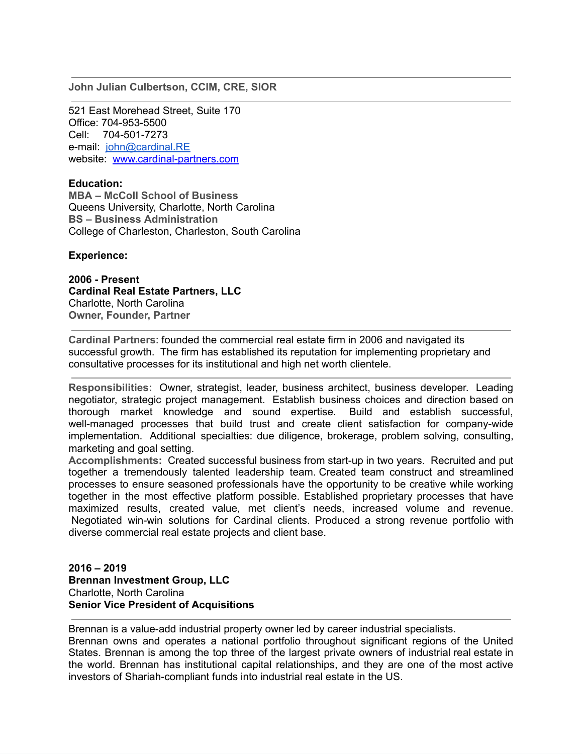**John Julian Culbertson, CCIM, CRE, SIOR**

521 East Morehead Street, Suite 170 Office: 704-953-5500 Cell: 704-501-7273 e-mail: [john@cardinal.RE](mailto:john@cardinal.RE) website: [www.cardinal-partners.com](http://www.cardinal-partners.com/)

# **Education:**

**MBA – McColl School of Business** Queens University, Charlotte, North Carolina **BS – Business Administration** College of Charleston, Charleston, South Carolina

## **Experience:**

**2006 - Present Cardinal Real Estate Partners, LLC** Charlotte, North Carolina **Owner, Founder, Partner**

**Cardinal Partners**: founded the commercial real estate firm in 2006 and navigated its successful growth. The firm has established its reputation for implementing proprietary and consultative processes for its institutional and high net worth clientele.

**Responsibilities:** Owner, strategist, leader, business architect, business developer. Leading negotiator, strategic project management. Establish business choices and direction based on thorough market knowledge and sound expertise. Build and establish successful, well-managed processes that build trust and create client satisfaction for company-wide implementation. Additional specialties: due diligence, brokerage, problem solving, consulting, marketing and goal setting.

**Accomplishments:** Created successful business from start-up in two years. Recruited and put together a tremendously talented leadership team. Created team construct and streamlined processes to ensure seasoned professionals have the opportunity to be creative while working together in the most effective platform possible. Established proprietary processes that have maximized results, created value, met client's needs, increased volume and revenue. Negotiated win-win solutions for Cardinal clients. Produced a strong revenue portfolio with diverse commercial real estate projects and client base.

# **2016 – 2019 Brennan Investment Group, LLC** Charlotte, North Carolina **Senior Vice President of Acquisitions**

Brennan is a value-add industrial property owner led by career industrial specialists.

Brennan owns and operates a national portfolio throughout significant regions of the United States. Brennan is among the top three of the largest private owners of industrial real estate in the world. Brennan has institutional capital relationships, and they are one of the most active investors of Shariah-compliant funds into industrial real estate in the US.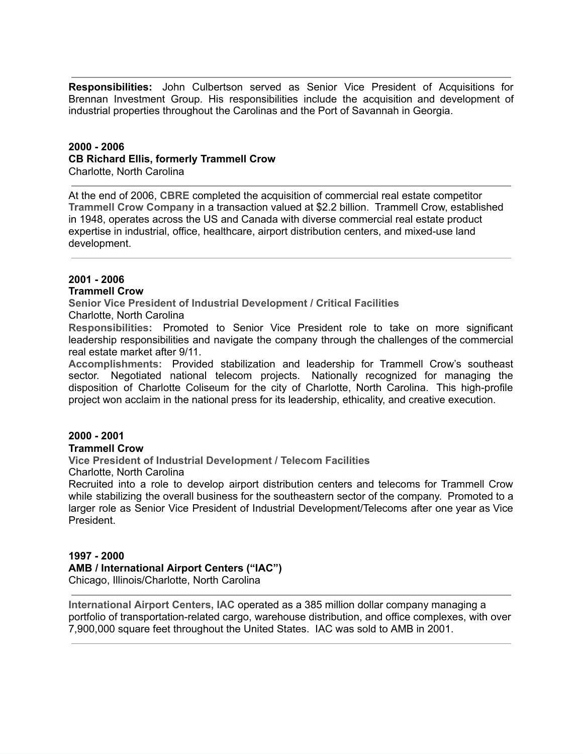**Responsibilities:** John Culbertson served as Senior Vice President of Acquisitions for Brennan Investment Group. His responsibilities include the acquisition and development of industrial properties throughout the Carolinas and the Port of Savannah in Georgia.

# **2000 - 2006 CB Richard Ellis, formerly Trammell Crow**

Charlotte, North Carolina

At the end of 2006, **CBRE** completed the acquisition of commercial real estate competitor **Trammell Crow Company** in a transaction valued at \$2.2 billion. Trammell Crow, established in 1948, operates across the US and Canada with diverse commercial real estate product expertise in industrial, office, healthcare, airport distribution centers, and mixed-use land development.

#### **2001 - 2006 Trammell Crow**

**Senior Vice President of Industrial Development / Critical Facilities**

Charlotte, North Carolina

**Responsibilities:** Promoted to Senior Vice President role to take on more significant leadership responsibilities and navigate the company through the challenges of the commercial real estate market after 9/11.

**Accomplishments:** Provided stabilization and leadership for Trammell Crow's southeast sector. Negotiated national telecom projects. Nationally recognized for managing the disposition of Charlotte Coliseum for the city of Charlotte, North Carolina. This high-profile project won acclaim in the national press for its leadership, ethicality, and creative execution.

#### **2000 - 2001 Trammell Crow**

**Vice President of Industrial Development / Telecom Facilities**

Charlotte, North Carolina

Recruited into a role to develop airport distribution centers and telecoms for Trammell Crow while stabilizing the overall business for the southeastern sector of the company. Promoted to a larger role as Senior Vice President of Industrial Development/Telecoms after one year as Vice President.

# **1997 - 2000**

## **AMB / International Airport Centers ("IAC")**

Chicago, Illinois/Charlotte, North Carolina

**International Airport Centers, IAC** operated as a 385 million dollar company managing a portfolio of transportation-related cargo, warehouse distribution, and office complexes, with over 7,900,000 square feet throughout the United States. IAC was sold to AMB in 2001.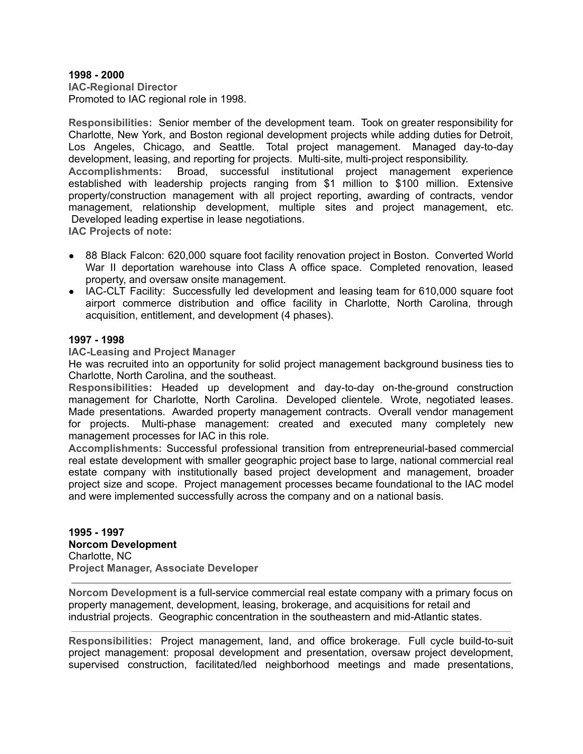#### **1998 - 2000**

**IAC-Regional Director** Promoted to IAC regional role in 1998.

**Responsibilities:** Senior member of the development team. Took on greater responsibility for Charlotte, New York, and Boston regional development projects while adding duties for Detroit, Los Angeles, Chicago, and Seattle. Total project management. Managed day-to-day development, leasing, and reporting for projects. Multi-site, multi-project responsibility. **Accomplishments:** Broad, successful institutional project management experience established with leadership projects ranging from \$1 million to \$100 million. Extensive property/construction management with all project reporting, awarding of contracts, vendor management, relationship development, multiple sites and project management, etc.

Developed leading expertise in lease negotiations. **IAC Projects of note:**

- 88 Black Falcon: 620,000 square foot facility renovation project in Boston. Converted World War II deportation warehouse into Class A office space. Completed renovation, leased property, and oversaw onsite management.
- IAC-CLT Facility: Successfully led development and leasing team for 610,000 square foot airport commerce distribution and office facility in Charlotte, North Carolina, through acquisition, entitlement, and development (4 phases).

# **1997 - 1998**

**IAC-Leasing and Project Manager**

He was recruited into an opportunity for solid project management background business ties to Charlotte, North Carolina, and the southeast.

**Responsibilities:** Headed up development and day-to-day on-the-ground construction management for Charlotte, North Carolina. Developed clientele. Wrote, negotiated leases. Made presentations. Awarded property management contracts. Overall vendor management for projects. Multi-phase management: created and executed many completely new management processes for IAC in this role.

**Accomplishments:** Successful professional transition from entrepreneurial-based commercial real estate development with smaller geographic project base to large, national commercial real estate company with institutionally based project development and management, broader project size and scope. Project management processes became foundational to the IAC model and were implemented successfully across the company and on a national basis.

**1995 - 1997 Norcom Development** Charlotte, NC **Project Manager, Associate Developer**

**Norcom Development** is a full-service commercial real estate company with a primary focus on property management, development, leasing, brokerage, and acquisitions for retail and industrial projects. Geographic concentration in the southeastern and mid-Atlantic states.

**Responsibilities:** Project management, land, and office brokerage. Full cycle build-to-suit project management: proposal development and presentation, oversaw project development, supervised construction, facilitated/led neighborhood meetings and made presentations,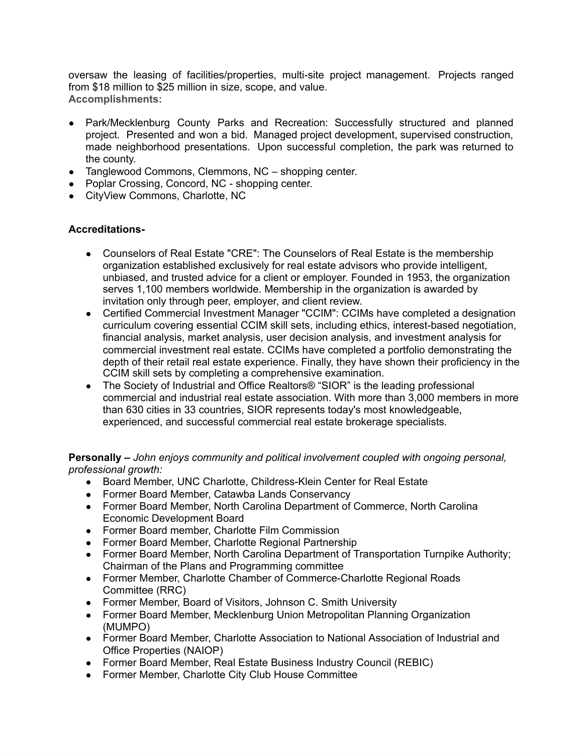oversaw the leasing of facilities/properties, multi-site project management. Projects ranged from \$18 million to \$25 million in size, scope, and value. **Accomplishments:**

- Park/Mecklenburg County Parks and Recreation: Successfully structured and planned project. Presented and won a bid. Managed project development, supervised construction, made neighborhood presentations. Upon successful completion, the park was returned to the county.
- Tanglewood Commons, Clemmons, NC shopping center.
- Poplar Crossing, Concord, NC shopping center.
- CityView Commons, Charlotte, NC

# **Accreditations-**

- **●** Counselors of Real Estate "CRE": The Counselors of Real Estate is the membership organization established exclusively for real estate advisors who provide intelligent, unbiased, and trusted advice for a client or employer. Founded in 1953, the organization serves 1,100 members worldwide. Membership in the organization is awarded by invitation only through peer, employer, and client review.
- **●** Certified Commercial Investment Manager "CCIM": CCIMs have completed a designation curriculum covering essential CCIM skill sets, including ethics, interest-based negotiation, financial analysis, market analysis, user decision analysis, and investment analysis for commercial investment real estate. CCIMs have completed a portfolio demonstrating the depth of their retail real estate experience. Finally, they have shown their proficiency in the CCIM skill sets by completing a comprehensive examination.
- **●** The Society of Industrial and Office Realtors® "SIOR" is the leading professional commercial and industrial real estate association. With more than 3,000 members in more than 630 cities in 33 countries, SIOR represents today's most knowledgeable, experienced, and successful commercial real estate brokerage specialists.

# **Personally –** *John enjoys community and political involvement coupled with ongoing personal, professional growth:*

- Board Member, UNC Charlotte, Childress-Klein Center for Real Estate
- Former Board Member, Catawba Lands Conservancy
- Former Board Member, North Carolina Department of Commerce, North Carolina Economic Development Board
- Former Board member, Charlotte Film Commission
- Former Board Member, Charlotte Regional Partnership
- Former Board Member, North Carolina Department of Transportation Turnpike Authority; Chairman of the Plans and Programming committee
- Former Member, Charlotte Chamber of Commerce-Charlotte Regional Roads Committee (RRC)
- Former Member, Board of Visitors, Johnson C. Smith University
- Former Board Member, Mecklenburg Union Metropolitan Planning Organization (MUMPO)
- Former Board Member, Charlotte Association to National Association of Industrial and Office Properties (NAIOP)
- Former Board Member, Real Estate Business Industry Council (REBIC)
- Former Member, Charlotte City Club House Committee